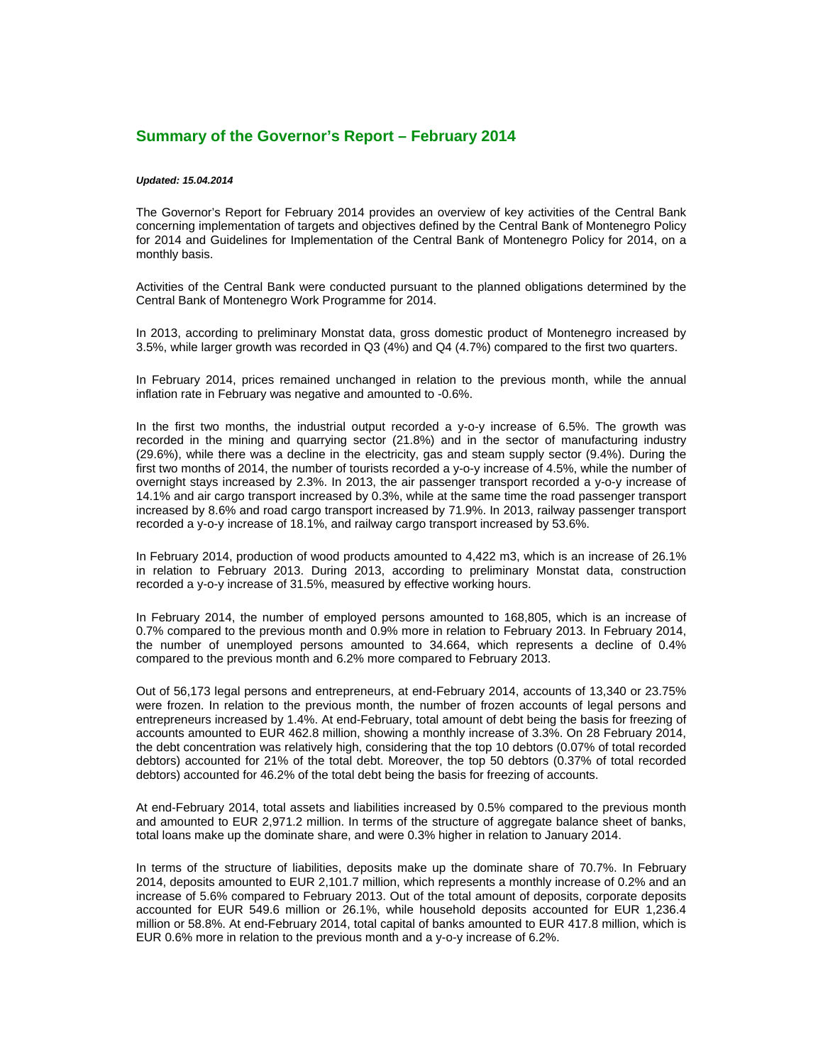## **Summary of the Governor's Report – February 2014**

## *Updated: 15.04.2014*

The Governor's Report for February 2014 provides an overview of key activities of the Central Bank concerning implementation of targets and objectives defined by the Central Bank of Montenegro Policy for 2014 and Guidelines for Implementation of the Central Bank of Montenegro Policy for 2014, on a monthly basis.

Activities of the Central Bank were conducted pursuant to the planned obligations determined by the Central Bank of Montenegro Work Programme for 2014.

In 2013, according to preliminary Monstat data, gross domestic product of Montenegro increased by 3.5%, while larger growth was recorded in Q3 (4%) and Q4 (4.7%) compared to the first two quarters.

In February 2014, prices remained unchanged in relation to the previous month, while the annual inflation rate in February was negative and amounted to -0.6%.

In the first two months, the industrial output recorded a y-o-y increase of 6.5%. The growth was recorded in the mining and quarrying sector (21.8%) and in the sector of manufacturing industry (29.6%), while there was a decline in the electricity, gas and steam supply sector (9.4%). During the first two months of 2014, the number of tourists recorded a y-o-y increase of 4.5%, while the number of overnight stays increased by 2.3%. In 2013, the air passenger transport recorded a y-o-y increase of 14.1% and air cargo transport increased by 0.3%, while at the same time the road passenger transport increased by 8.6% and road cargo transport increased by 71.9%. In 2013, railway passenger transport recorded a y-o-y increase of 18.1%, and railway cargo transport increased by 53.6%.

In February 2014, production of wood products amounted to 4,422 m3, which is an increase of 26.1% in relation to February 2013. During 2013, according to preliminary Monstat data, construction recorded a y-o-y increase of 31.5%, measured by effective working hours.

In February 2014, the number of employed persons amounted to 168,805, which is an increase of 0.7% compared to the previous month and 0.9% more in relation to February 2013. In February 2014, the number of unemployed persons amounted to 34.664, which represents a decline of 0.4% compared to the previous month and 6.2% more compared to February 2013.

Out of 56,173 legal persons and entrepreneurs, at end-February 2014, accounts of 13,340 or 23.75% were frozen. In relation to the previous month, the number of frozen accounts of legal persons and entrepreneurs increased by 1.4%. At end-February, total amount of debt being the basis for freezing of accounts amounted to EUR 462.8 million, showing a monthly increase of 3.3%. On 28 February 2014, the debt concentration was relatively high, considering that the top 10 debtors (0.07% of total recorded debtors) accounted for 21% of the total debt. Moreover, the top 50 debtors (0.37% of total recorded debtors) accounted for 46.2% of the total debt being the basis for freezing of accounts.

At end-February 2014, total assets and liabilities increased by 0.5% compared to the previous month and amounted to EUR 2,971.2 million. In terms of the structure of aggregate balance sheet of banks, total loans make up the dominate share, and were 0.3% higher in relation to January 2014.

In terms of the structure of liabilities, deposits make up the dominate share of 70.7%. In February 2014, deposits amounted to EUR 2,101.7 million, which represents a monthly increase of 0.2% and an increase of 5.6% compared to February 2013. Out of the total amount of deposits, corporate deposits accounted for EUR 549.6 million or 26.1%, while household deposits accounted for EUR 1,236.4 million or 58.8%. At end-February 2014, total capital of banks amounted to EUR 417.8 million, which is EUR 0.6% more in relation to the previous month and a y-o-y increase of 6.2%.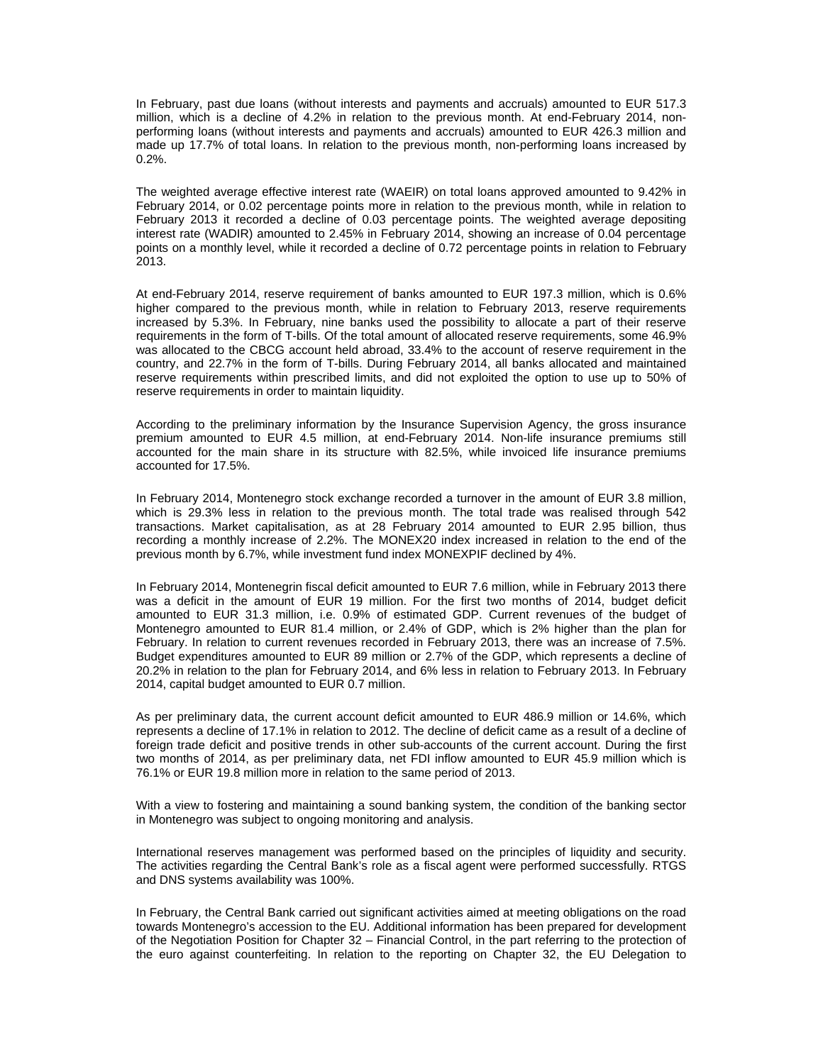In February, past due loans (without interests and payments and accruals) amounted to EUR 517.3 million, which is a decline of 4.2% in relation to the previous month. At end-February 2014, nonperforming loans (without interests and payments and accruals) amounted to EUR 426.3 million and made up 17.7% of total loans. In relation to the previous month, non-performing loans increased by  $0.2%$ .

The weighted average effective interest rate (WAEIR) on total loans approved amounted to 9.42% in February 2014, or 0.02 percentage points more in relation to the previous month, while in relation to February 2013 it recorded a decline of 0.03 percentage points. The weighted average depositing interest rate (WADIR) amounted to 2.45% in February 2014, showing an increase of 0.04 percentage points on a monthly level, while it recorded a decline of 0.72 percentage points in relation to February 2013.

At end-February 2014, reserve requirement of banks amounted to EUR 197.3 million, which is 0.6% higher compared to the previous month, while in relation to February 2013, reserve requirements increased by 5.3%. In February, nine banks used the possibility to allocate a part of their reserve requirements in the form of T-bills. Of the total amount of allocated reserve requirements, some 46.9% was allocated to the CBCG account held abroad, 33.4% to the account of reserve requirement in the country, and 22.7% in the form of T-bills. During February 2014, all banks allocated and maintained reserve requirements within prescribed limits, and did not exploited the option to use up to 50% of reserve requirements in order to maintain liquidity.

According to the preliminary information by the Insurance Supervision Agency, the gross insurance premium amounted to EUR 4.5 million, at end-February 2014. Non-life insurance premiums still accounted for the main share in its structure with 82.5%, while invoiced life insurance premiums accounted for 17.5%.

In February 2014, Montenegro stock exchange recorded a turnover in the amount of EUR 3.8 million, which is 29.3% less in relation to the previous month. The total trade was realised through 542 transactions. Market capitalisation, as at 28 February 2014 amounted to EUR 2.95 billion, thus recording a monthly increase of 2.2%. The MONEX20 index increased in relation to the end of the previous month by 6.7%, while investment fund index MONEXPIF declined by 4%.

In February 2014, Montenegrin fiscal deficit amounted to EUR 7.6 million, while in February 2013 there was a deficit in the amount of EUR 19 million. For the first two months of 2014, budget deficit amounted to EUR 31.3 million, i.e. 0.9% of estimated GDP. Current revenues of the budget of Montenegro amounted to EUR 81.4 million, or 2.4% of GDP, which is 2% higher than the plan for February. In relation to current revenues recorded in February 2013, there was an increase of 7.5%. Budget expenditures amounted to EUR 89 million or 2.7% of the GDP, which represents a decline of 20.2% in relation to the plan for February 2014, and 6% less in relation to February 2013. In February 2014, capital budget amounted to EUR 0.7 million.

As per preliminary data, the current account deficit amounted to EUR 486.9 million or 14.6%, which represents a decline of 17.1% in relation to 2012. The decline of deficit came as a result of a decline of foreign trade deficit and positive trends in other sub-accounts of the current account. During the first two months of 2014, as per preliminary data, net FDI inflow amounted to EUR 45.9 million which is 76.1% or EUR 19.8 million more in relation to the same period of 2013.

With a view to fostering and maintaining a sound banking system, the condition of the banking sector in Montenegro was subject to ongoing monitoring and analysis.

International reserves management was performed based on the principles of liquidity and security. The activities regarding the Central Bank's role as a fiscal agent were performed successfully. RTGS and DNS systems availability was 100%.

In February, the Central Bank carried out significant activities aimed at meeting obligations on the road towards Montenegro's accession to the EU. Additional information has been prepared for development of the Negotiation Position for Chapter 32 – Financial Control, in the part referring to the protection of the euro against counterfeiting. In relation to the reporting on Chapter 32, the EU Delegation to